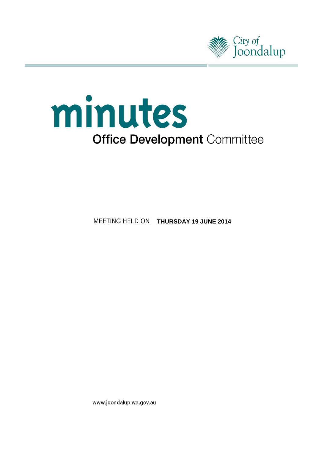



**MEETING HELD ON THURSDAY 19 JUNE 2014** 

www.joondalup.wa.gov.au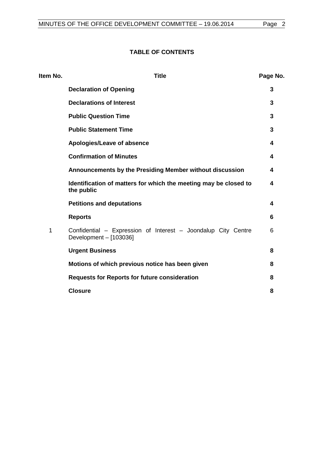# **TABLE OF CONTENTS**

| Item No. | <b>Title</b>                                                                            | Page No. |
|----------|-----------------------------------------------------------------------------------------|----------|
|          | <b>Declaration of Opening</b>                                                           | 3        |
|          | <b>Declarations of Interest</b>                                                         | 3        |
|          | <b>Public Question Time</b>                                                             | 3        |
|          | <b>Public Statement Time</b>                                                            | 3        |
|          | Apologies/Leave of absence                                                              | 4        |
|          | <b>Confirmation of Minutes</b>                                                          | 4        |
|          | Announcements by the Presiding Member without discussion                                | 4        |
|          | Identification of matters for which the meeting may be closed to<br>the public          | 4        |
|          | <b>Petitions and deputations</b>                                                        | 4        |
|          | <b>Reports</b>                                                                          | 6        |
| 1        | Confidential - Expression of Interest - Joondalup City Centre<br>Development - [103036] | 6        |
|          | <b>Urgent Business</b>                                                                  | 8        |
|          | Motions of which previous notice has been given                                         | 8        |
|          | <b>Requests for Reports for future consideration</b>                                    | 8        |
|          | <b>Closure</b>                                                                          | 8        |
|          |                                                                                         |          |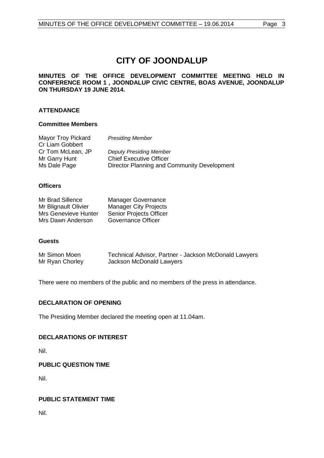# **CITY OF JOONDALUP**

## **MINUTES OF THE OFFICE DEVELOPMENT COMMITTEE MEETING HELD IN CONFERENCE ROOM 1 , JOONDALUP CIVIC CENTRE, BOAS AVENUE, JOONDALUP ON THURSDAY 19 JUNE 2014.**

# **ATTENDANCE**

#### **Committee Members**

| Mayor Troy Pickard | <b>Presiding Member</b>                     |
|--------------------|---------------------------------------------|
| Cr Liam Gobbert    |                                             |
| Cr Tom McLean, JP  | <b>Deputy Presiding Member</b>              |
| Mr Garry Hunt      | <b>Chief Executive Officer</b>              |
| Ms Dale Page       | Director Planning and Community Development |

#### **Officers**

| Mr Brad Sillence     | <b>Manager Governance</b>    |
|----------------------|------------------------------|
| Mr Blignault Olivier | <b>Manager City Projects</b> |
| Mrs Genevieve Hunter | Senior Projects Officer      |
| Mrs Dawn Anderson    | Governance Officer           |

#### **Guests**

| Mr Simon Moen   | Technical Advisor, Partner - Jackson McDonald Lawyers |
|-----------------|-------------------------------------------------------|
| Mr Ryan Chorley | Jackson McDonald Lawyers                              |

There were no members of the public and no members of the press in attendance.

## <span id="page-2-0"></span>**DECLARATION OF OPENING**

The Presiding Member declared the meeting open at 11.04am.

# <span id="page-2-1"></span>**DECLARATIONS OF INTEREST**

Nil.

## <span id="page-2-2"></span>**PUBLIC QUESTION TIME**

Nil.

## <span id="page-2-3"></span>**PUBLIC STATEMENT TIME**

Nil.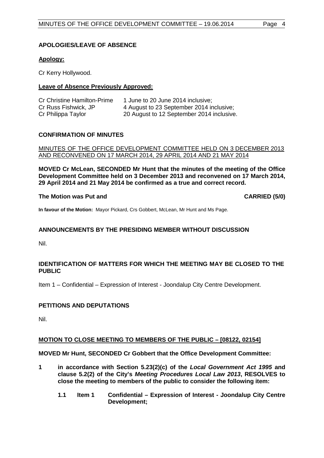# <span id="page-3-0"></span>**APOLOGIES/LEAVE OF ABSENCE**

## **Apology:**

Cr Kerry Hollywood.

# **Leave of Absence Previously Approved:**

| <b>Cr Christine Hamilton-Prime</b> | 1 June to 20 June 2014 inclusive:         |
|------------------------------------|-------------------------------------------|
| Cr Russ Fishwick, JP               | 4 August to 23 September 2014 inclusive;  |
| Cr Philippa Taylor                 | 20 August to 12 September 2014 inclusive. |

## <span id="page-3-1"></span>**CONFIRMATION OF MINUTES**

MINUTES OF THE OFFICE DEVELOPMENT COMMITTEE HELD ON 3 DECEMBER 2013 AND RECONVENED ON 17 MARCH 2014, 29 APRIL 2014 AND 21 MAY 2014

**MOVED Cr McLean, SECONDED Mr Hunt that the minutes of the meeting of the Office Development Committee held on 3 December 2013 and reconvened on 17 March 2014, 29 April 2014 and 21 May 2014 be confirmed as a true and correct record.**

## **The Motion was Put and CARRIED (5/0)**

**In favour of the Motion:** Mayor Pickard, Crs Gobbert, McLean, Mr Hunt and Ms Page.

# <span id="page-3-2"></span>**ANNOUNCEMENTS BY THE PRESIDING MEMBER WITHOUT DISCUSSION**

Nil.

# <span id="page-3-3"></span>**IDENTIFICATION OF MATTERS FOR WHICH THE MEETING MAY BE CLOSED TO THE PUBLIC**

Item 1 – Confidential – Expression of Interest - Joondalup City Centre Development.

# <span id="page-3-4"></span>**PETITIONS AND DEPUTATIONS**

Nil.

## **MOTION TO CLOSE MEETING TO MEMBERS OF THE PUBLIC – [08122, 02154]**

**MOVED Mr Hunt, SECONDED Cr Gobbert that the Office Development Committee:**

- **1 in accordance with Section 5.23(2)(c) of the** *Local Government Act 1995* **and clause 5.2(2) of the City's** *Meeting Procedures Local Law 2013***, RESOLVES to close the meeting to members of the public to consider the following item:**
	- **1.1 Item 1 Confidential – Expression of Interest - Joondalup City Centre Development;**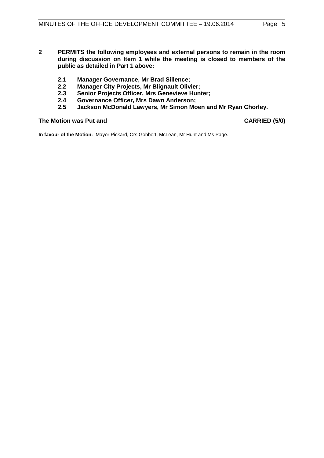- **2 PERMITS the following employees and external persons to remain in the room during discussion on Item 1 while the meeting is closed to members of the public as detailed in Part 1 above:**
	- **2.1 Manager Governance, Mr Brad Sillence;**
	- **2.2 Manager City Projects, Mr Blignault Olivier;**
	- **2.3 Senior Projects Officer, Mrs Genevieve Hunter;**
	- **2.4 Governance Officer, Mrs Dawn Anderson;**
	- **2.5 Jackson McDonald Lawyers, Mr Simon Moen and Mr Ryan Chorley.**

# The Motion was Put and **CARRIED** (5/0)

**In favour of the Motion:** Mayor Pickard, Crs Gobbert, McLean, Mr Hunt and Ms Page.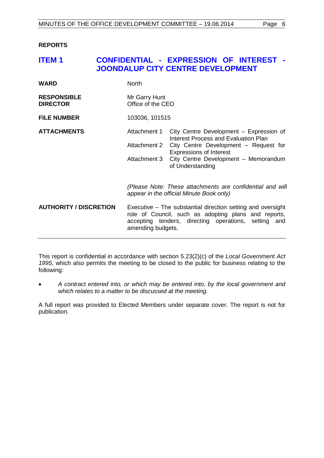<span id="page-5-0"></span>**REPORTS**

# <span id="page-5-1"></span>**ITEM 1 CONFIDENTIAL - EXPRESSION OF INTEREST - JOONDALUP CITY CENTRE DEVELOPMENT**

| <b>WARD</b>                           | <b>North</b>                                                                                                                                                                                     |                                                                                 |  |
|---------------------------------------|--------------------------------------------------------------------------------------------------------------------------------------------------------------------------------------------------|---------------------------------------------------------------------------------|--|
| <b>RESPONSIBLE</b><br><b>DIRECTOR</b> | Mr Garry Hunt<br>Office of the CEO                                                                                                                                                               |                                                                                 |  |
| <b>FILE NUMBER</b>                    | 103036, 101515                                                                                                                                                                                   |                                                                                 |  |
| <b>ATTACHMENTS</b>                    | Attachment 1                                                                                                                                                                                     | City Centre Development - Expression of<br>Interest Process and Evaluation Plan |  |
|                                       | Attachment 2                                                                                                                                                                                     | City Centre Development - Request for<br><b>Expressions of Interest</b>         |  |
|                                       | Attachment 3                                                                                                                                                                                     | City Centre Development - Memorandum<br>of Understanding                        |  |
|                                       | (Please Note: These attachments are confidential and will<br>appear in the official Minute Book only)                                                                                            |                                                                                 |  |
| <b>AUTHORITY / DISCRETION</b>         | Executive – The substantial direction setting and oversight<br>role of Council, such as adopting plans and reports,<br>accepting tenders, directing operations, setting and<br>amending budgets. |                                                                                 |  |

This report is confidential in accordance with section 5.23(2)(c) of the *Local Government Act 1995*, which also permits the meeting to be closed to the public for business relating to the following:

• *A contract entered into, or which may be entered into, by the local government and which relates to a matter to be discussed at the meeting.*

A full report was provided to Elected Members under separate cover. The report is not for publication.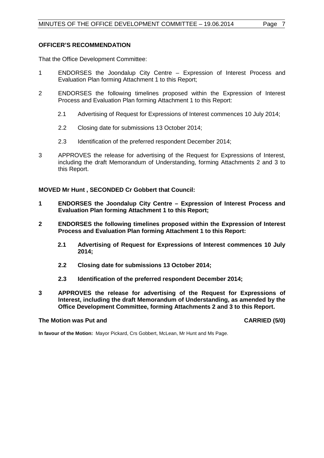#### **OFFICER'S RECOMMENDATION**

That the Office Development Committee:

- 1 ENDORSES the Joondalup City Centre Expression of Interest Process and Evaluation Plan forming Attachment 1 to this Report;
- 2 ENDORSES the following timelines proposed within the Expression of Interest Process and Evaluation Plan forming Attachment 1 to this Report:
	- 2.1 Advertising of Request for Expressions of Interest commences 10 July 2014;
	- 2.2 Closing date for submissions 13 October 2014;
	- 2.3 Identification of the preferred respondent December 2014;
- 3 APPROVES the release for advertising of the Request for Expressions of Interest, including the draft Memorandum of Understanding, forming Attachments 2 and 3 to this Report.

**MOVED Mr Hunt , SECONDED Cr Gobbert that Council:**

- **1 ENDORSES the Joondalup City Centre – Expression of Interest Process and Evaluation Plan forming Attachment 1 to this Report;**
- **2 ENDORSES the following timelines proposed within the Expression of Interest Process and Evaluation Plan forming Attachment 1 to this Report:**
	- **2.1 Advertising of Request for Expressions of Interest commences 10 July 2014;**
	- **2.2 Closing date for submissions 13 October 2014;**
	- **2.3 Identification of the preferred respondent December 2014;**
- **3 APPROVES the release for advertising of the Request for Expressions of Interest, including the draft Memorandum of Understanding, as amended by the Office Development Committee, forming Attachments 2 and 3 to this Report.**

## **The Motion was Put and CARRIED (5/0)**

**In favour of the Motion:** Mayor Pickard, Crs Gobbert, McLean, Mr Hunt and Ms Page.